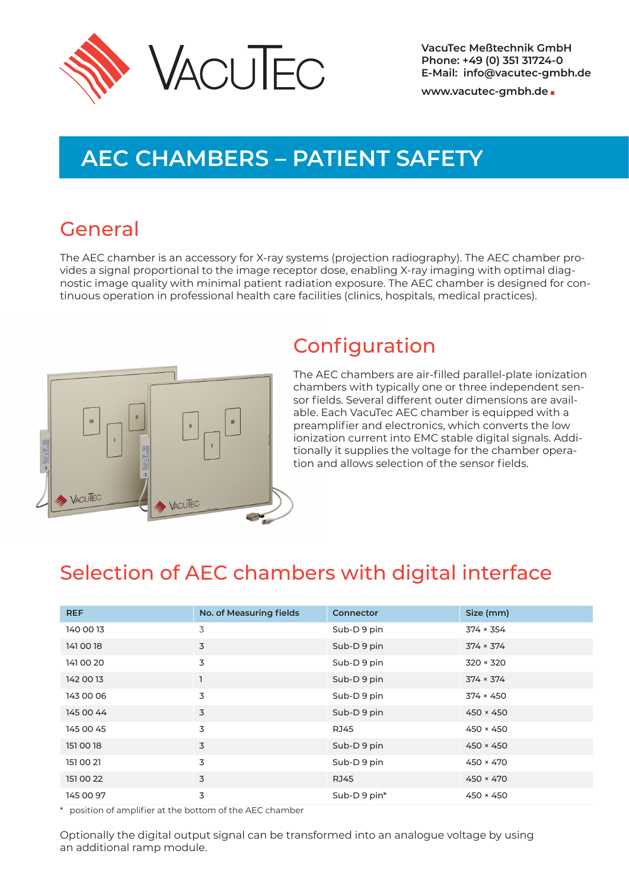

**www.vacutec-gmbh.de**

# **AEC CHAMBERS – PATIENT SAFETY**

### General

The AEC chamber is an accessory for X-ray systems (projection radiography). The AEC chamber pro‐ vides a signal proportional to the image receptor dose, enabling X-ray imaging with optimal diag‐ nostic image quality with minimal patient radiation exposure. The AEC chamber is designed for con‐ tinuous operation in professional health care facilities (clinics, hospitals, medical practices).



## Configuration

The AEC chambers are air-filled parallel-plate ionization chambers with typically one or three independent sen‐ sor fields. Several different outer dimensions are avail‐ able. Each VacuTec AEC chamber is equipped with a preamplifier and electronics, which converts the low ionization current into EMC stable digital signals. Addi‐ tionally it supplies the voltage for the chamber opera‐ tion and allows selection of the sensor fields.

## Selection of AEC chambers with digital interface

| <b>REF</b> | No. of Measuring fields | <b>Connector</b> | Size (mm)        |
|------------|-------------------------|------------------|------------------|
| 140 00 13  | 3                       | Sub-D9 pin       | $374 \times 354$ |
| 141 00 18  | 3                       | Sub-D9 pin       | $374 \times 374$ |
| 141 00 20  | 3                       | Sub-D9 pin       | $320 \times 320$ |
| 142 00 13  |                         | Sub-D9 pin       | $374 \times 374$ |
| 143 00 06  | 3                       | Sub-D9 pin       | $374 \times 450$ |
| 145 00 44  | 3                       | Sub-D9 pin       | $450 \times 450$ |
| 145 00 45  | 3                       | <b>RJ45</b>      | $450 \times 450$ |
| 151 00 18  | 3                       | Sub-D9 pin       | $450 \times 450$ |
| 151 00 21  | 3                       | Sub-D9 pin       | $450 \times 470$ |
| 151 00 22  | 3                       | <b>RJ45</b>      | $450 \times 470$ |
| 145 00 97  | 3                       | Sub-D9 pin*      | $450 \times 450$ |

\* position of amplifier at the bottom of the AEC chamber

Optionally the digital output signal can be transformed into an analogue voltage by using an additional ramp module.